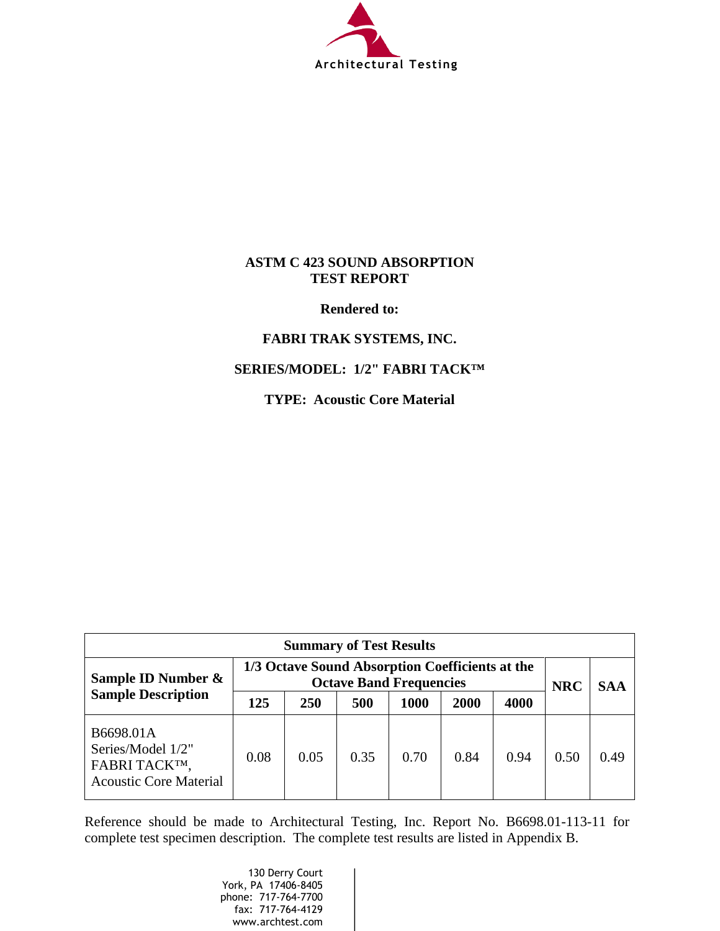

## **ASTM C 423 SOUND ABSORPTION TEST REPORT**

**Rendered to:**

## **FABRI TRAK SYSTEMS, INC.**

## **SERIES/MODEL: 1/2" FABRI TACK™**

**TYPE: Acoustic Core Material**

| <b>Summary of Test Results</b>                                                   |                                                                                   |      |      |      |      |            |            |      |
|----------------------------------------------------------------------------------|-----------------------------------------------------------------------------------|------|------|------|------|------------|------------|------|
| Sample ID Number &                                                               | 1/3 Octave Sound Absorption Coefficients at the<br><b>Octave Band Frequencies</b> |      |      |      |      | <b>NRC</b> | <b>SAA</b> |      |
| <b>Sample Description</b>                                                        | 125                                                                               | 250  | 500  | 1000 | 2000 | 4000       |            |      |
| B6698.01A<br>Series/Model 1/2"<br>FABRI TACKTM,<br><b>Acoustic Core Material</b> | 0.08                                                                              | 0.05 | 0.35 | 0.70 | 0.84 | 0.94       | 0.50       | 0.49 |

Reference should be made to Architectural Testing, Inc. Report No. B6698.01-113-11 for complete test specimen description. The complete test results are listed in Appendix B.

> 130 Derry Court York, PA 17406-8405 phone: 717-764-7700 fax: 717-764-4129 www.archtest.com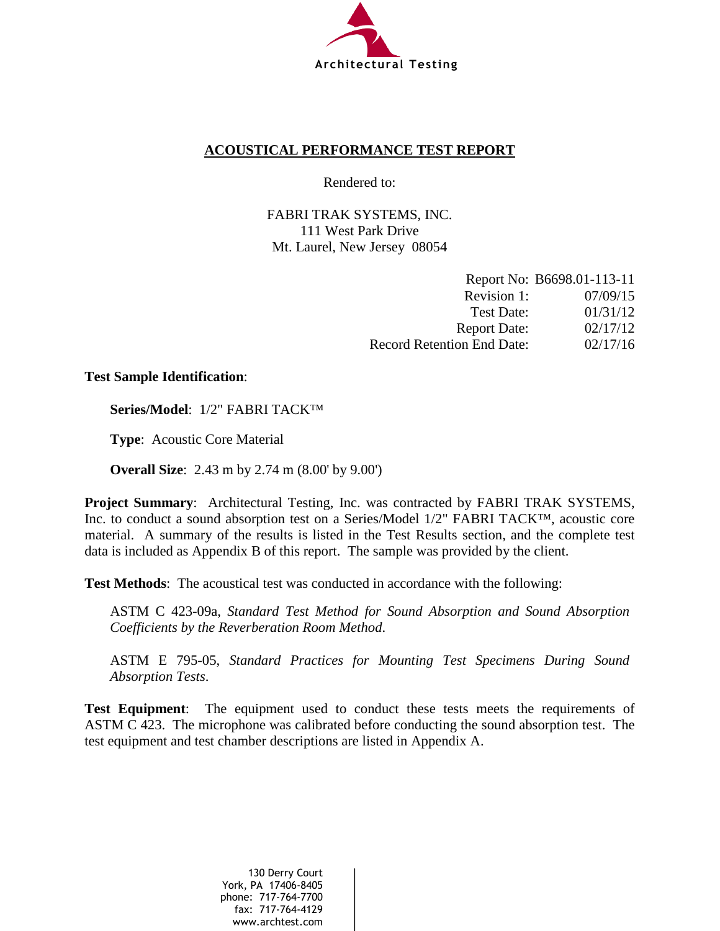

## **ACOUSTICAL PERFORMANCE TEST REPORT**

Rendered to:

FABRI TRAK SYSTEMS, INC. 111 West Park Drive Mt. Laurel, New Jersey 08054

|                                   | Report No: B6698.01-113-11 |
|-----------------------------------|----------------------------|
| Revision 1:                       | 07/09/15                   |
| Test Date:                        | 01/31/12                   |
| <b>Report Date:</b>               | 02/17/12                   |
| <b>Record Retention End Date:</b> | 02/17/16                   |

### **Test Sample Identification**:

**Series/Model**: 1/2" FABRI TACK™

**Type**: Acoustic Core Material

**Overall Size**: 2.43 m by 2.74 m (8.00' by 9.00')

**Project Summary**: Architectural Testing, Inc. was contracted by FABRI TRAK SYSTEMS, Inc. to conduct a sound absorption test on a Series/Model 1/2" FABRI TACK™, acoustic core material. A summary of the results is listed in the Test Results section, and the complete test data is included as Appendix B of this report. The sample was provided by the client.

**Test Methods**: The acoustical test was conducted in accordance with the following:

ASTM C 423-09a, *Standard Test Method for Sound Absorption and Sound Absorption Coefficients by the Reverberation Room Method*.

ASTM E 795-05, *Standard Practices for Mounting Test Specimens During Sound Absorption Tests*.

**Test Equipment**: The equipment used to conduct these tests meets the requirements of ASTM C 423. The microphone was calibrated before conducting the sound absorption test. The test equipment and test chamber descriptions are listed in Appendix A.

> 130 Derry Court York, PA 17406-8405 phone: 717-764-7700 fax: 717-764-4129 www.archtest.com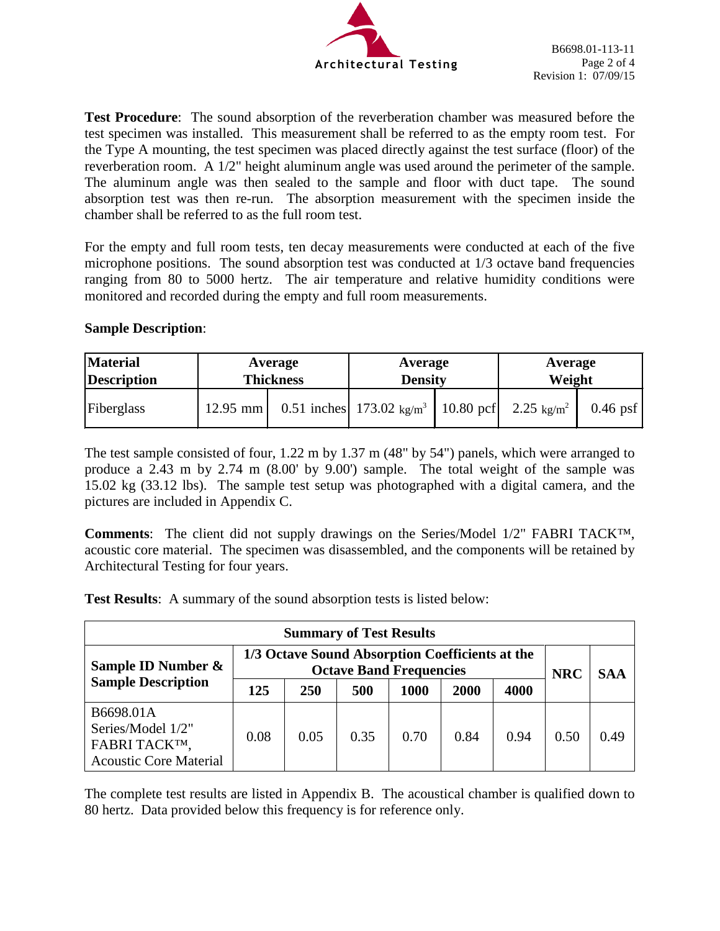

**Test Procedure**: The sound absorption of the reverberation chamber was measured before the test specimen was installed. This measurement shall be referred to as the empty room test. For the Type A mounting, the test specimen was placed directly against the test surface (floor) of the reverberation room. A 1/2" height aluminum angle was used around the perimeter of the sample. The aluminum angle was then sealed to the sample and floor with duct tape. The sound absorption test was then re-run. The absorption measurement with the specimen inside the chamber shall be referred to as the full room test.

For the empty and full room tests, ten decay measurements were conducted at each of the five microphone positions. The sound absorption test was conducted at 1/3 octave band frequencies ranging from 80 to 5000 hertz. The air temperature and relative humidity conditions were monitored and recorded during the empty and full room measurements.

### **Sample Description**:

| <b>Material</b>    | Average          |  | Average                                                               | Average |            |
|--------------------|------------------|--|-----------------------------------------------------------------------|---------|------------|
| <b>Description</b> | <b>Thickness</b> |  | <b>Density</b>                                                        | Weight  |            |
| Fiberglass         | $12.95$ mm       |  | 0.51 inches 173.02 kg/m <sup>3</sup> 10.80 pcf 2.25 kg/m <sup>2</sup> |         | $0.46$ psf |

The test sample consisted of four, 1.22 m by 1.37 m (48" by 54") panels, which were arranged to produce a 2.43 m by 2.74 m (8.00' by 9.00') sample. The total weight of the sample was 15.02 kg (33.12 lbs). The sample test setup was photographed with a digital camera, and the pictures are included in Appendix C.

**Comments**: The client did not supply drawings on the Series/Model 1/2" FABRI TACK™, acoustic core material. The specimen was disassembled, and the components will be retained by Architectural Testing for four years.

**Test Results**: A summary of the sound absorption tests is listed below:

| <b>Summary of Test Results</b>                                                   |                                                                                   |      |      |      |      |            |            |      |
|----------------------------------------------------------------------------------|-----------------------------------------------------------------------------------|------|------|------|------|------------|------------|------|
| Sample ID Number &                                                               | 1/3 Octave Sound Absorption Coefficients at the<br><b>Octave Band Frequencies</b> |      |      |      |      | <b>NRC</b> | <b>SAA</b> |      |
| <b>Sample Description</b>                                                        | 125                                                                               | 250  | 500  | 1000 | 2000 | 4000       |            |      |
| B6698.01A<br>Series/Model 1/2"<br>FABRI TACKTM,<br><b>Acoustic Core Material</b> | 0.08                                                                              | 0.05 | 0.35 | 0.70 | 0.84 | 0.94       | 0.50       | 0.49 |

The complete test results are listed in Appendix B. The acoustical chamber is qualified down to 80 hertz. Data provided below this frequency is for reference only.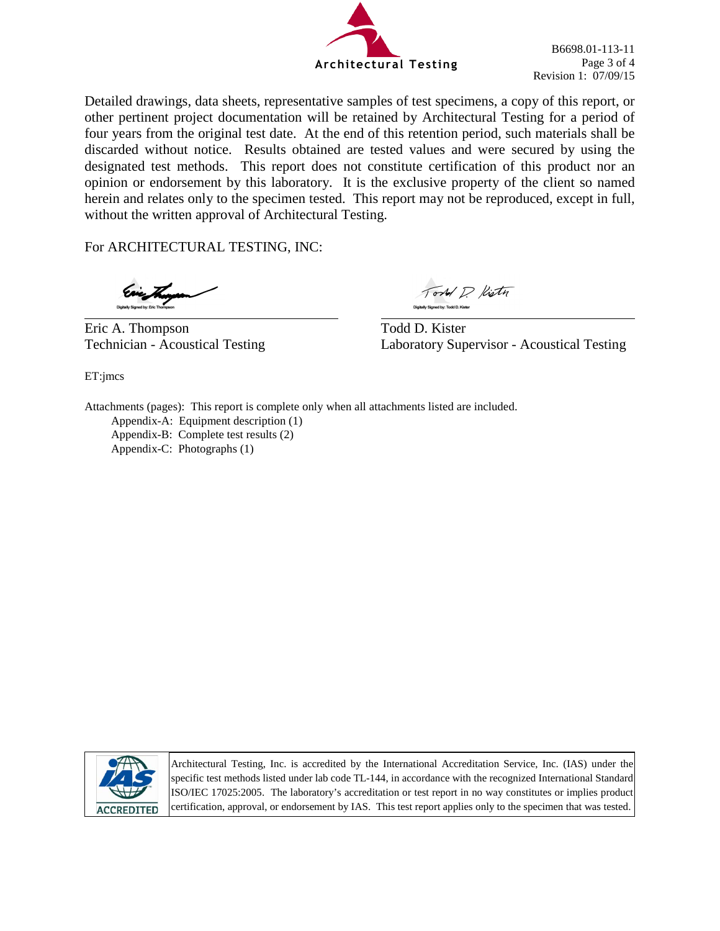

B6698.01-113-11 Page 3 of 4 Revision 1: 07/09/15

Detailed drawings, data sheets, representative samples of test specimens, a copy of this report, or other pertinent project documentation will be retained by Architectural Testing for a period of four years from the original test date. At the end of this retention period, such materials shall be discarded without notice. Results obtained are tested values and were secured by using the designated test methods. This report does not constitute certification of this product nor an opinion or endorsement by this laboratory. It is the exclusive property of the client so named herein and relates only to the specimen tested. This report may not be reproduced, except in full, without the written approval of Architectural Testing.

For ARCHITECTURAL TESTING, INC:

ET:jmcs

Eric A. Thompson Todd D. Kister

Tord P. Kisty

Technician - Acoustical Testing Laboratory Supervisor - Acoustical Testing

Attachments (pages): This report is complete only when all attachments listed are included.

Appendix-A: Equipment description (1) Appendix-B: Complete test results (2)

Appendix-C: Photographs (1)



Architectural Testing, Inc. is accredited by the International Accreditation Service, Inc. (IAS) under the specific test methods listed under lab code TL-144, in accordance with the recognized International Standard ISO/IEC 17025:2005. The laboratory's accreditation or test report in no way constitutes or implies product certification, approval, or endorsement by IAS. This test report applies only to the specimen that was tested.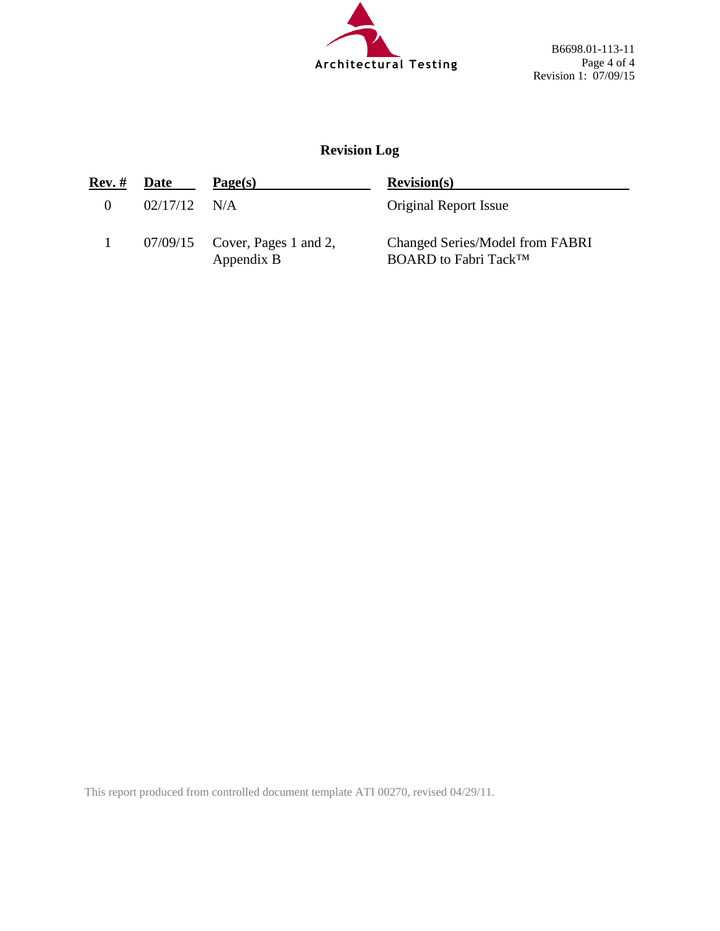

B6698.01-113-11 Page 4 of 4 Revision 1: 07/09/15

# **Revision Log**

| Rev. #   | Date           | Page(s)                                        | Revision(s)                                                                |
|----------|----------------|------------------------------------------------|----------------------------------------------------------------------------|
| $\Omega$ | $02/17/12$ N/A |                                                | <b>Original Report Issue</b>                                               |
|          |                | $07/09/15$ Cover, Pages 1 and 2,<br>Appendix B | Changed Series/Model from FABRI<br><b>BOARD</b> to Fabri Tack <sup>™</sup> |

This report produced from controlled document template ATI 00270, revised 04/29/11.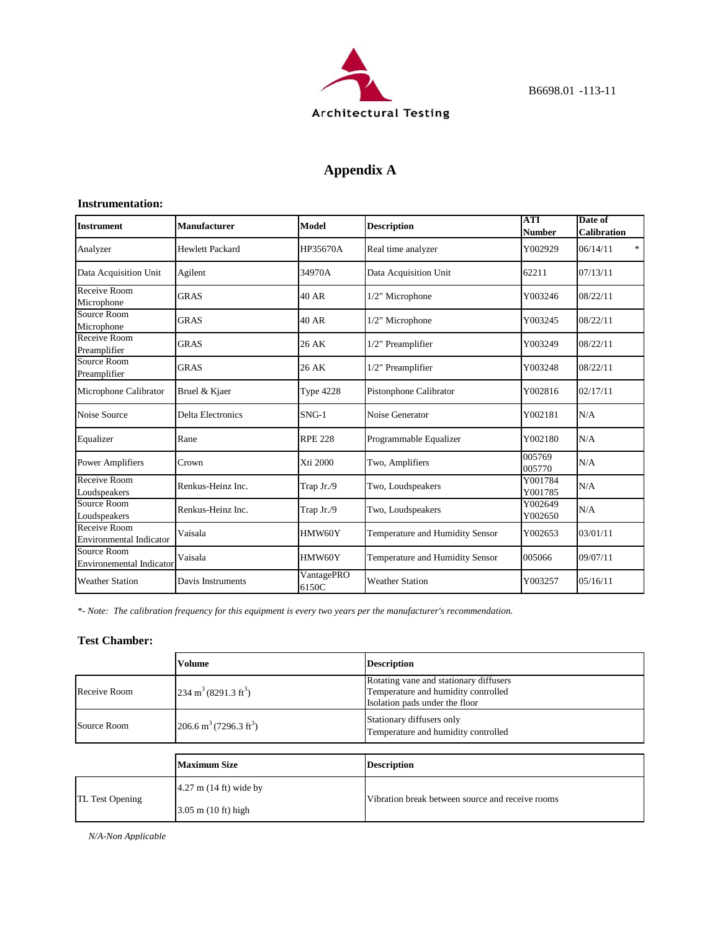

# **Appendix A**

#### **Instrumentation:**

| <b>Instrument</b>                              | <b>Manufacturer</b>      | Model               | <b>Description</b>              | <b>ATI</b><br><b>Number</b> | Date of<br><b>Calibration</b> |
|------------------------------------------------|--------------------------|---------------------|---------------------------------|-----------------------------|-------------------------------|
| Analyzer                                       | <b>Hewlett Packard</b>   | HP35670A            | Real time analyzer              | Y002929                     | $\ast$<br>06/14/11            |
| Data Acquisition Unit                          | Agilent                  | 34970A              | Data Acquisition Unit           | 62211                       | 07/13/11                      |
| Receive Room<br>Microphone                     | <b>GRAS</b>              | 40 AR               | 1/2" Microphone                 | Y003246                     | 08/22/11                      |
| Source Room<br>Microphone                      | <b>GRAS</b>              | 40 AR               | 1/2" Microphone                 | Y003245                     | 08/22/11                      |
| Receive Room<br>Preamplifier                   | <b>GRAS</b>              | 26 AK               | 1/2" Preamplifier               | Y003249                     | 08/22/11                      |
| Source Room<br>Preamplifier                    | <b>GRAS</b>              | 26 AK               | 1/2" Preamplifier               | Y003248                     | 08/22/11                      |
| Microphone Calibrator                          | Bruel & Kjaer            | <b>Type 4228</b>    | Pistonphone Calibrator          | Y002816                     | 02/17/11                      |
| Noise Source                                   | <b>Delta Electronics</b> | $SNG-1$             | Noise Generator                 | Y002181                     | N/A                           |
| Equalizer                                      | Rane                     | <b>RPE 228</b>      | Programmable Equalizer          | Y002180                     | N/A                           |
| <b>Power Amplifiers</b>                        | Crown                    | Xti 2000            | Two, Amplifiers                 | 005769<br>005770            | N/A                           |
| Receive Room<br>Loudspeakers                   | Renkus-Heinz Inc.        | Trap Jr./9          | Two, Loudspeakers               | Y001784<br>Y001785          | N/A                           |
| Source Room<br>Loudspeakers                    | Renkus-Heinz Inc.        | Trap Jr./9          | Two, Loudspeakers               | Y002649<br>Y002650          | N/A                           |
| Receive Room<br><b>Environmental Indicator</b> | Vaisala                  | HMW60Y              | Temperature and Humidity Sensor | Y002653                     | 03/01/11                      |
| Source Room<br><b>Environemental Indicator</b> | Vaisala                  | HMW60Y              | Temperature and Humidity Sensor | 005066                      | 09/07/11                      |
| <b>Weather Station</b>                         | Davis Instruments        | VantagePRO<br>6150C | <b>Weather Station</b>          | Y003257                     | 05/16/11                      |

*\*- Note: The calibration frequency for this equipment is every two years per the manufacturer's recommendation.*

### **Test Chamber:**

|                                                               | <b>Volume</b>                      | <b>Description</b>                                                                                              |
|---------------------------------------------------------------|------------------------------------|-----------------------------------------------------------------------------------------------------------------|
| $234 \text{ m}^3 (8291.3 \text{ ft}^3)$<br>Receive Room       |                                    | Rotating vane and stationary diffusers<br>Temperature and humidity controlled<br>Isolation pads under the floor |
| 206.6 m <sup>3</sup> (7296.3 ft <sup>3</sup> )<br>Source Room |                                    | Stationary diffusers only<br>Temperature and humidity controlled                                                |
|                                                               |                                    |                                                                                                                 |
|                                                               | <b>Maximum Size</b>                | <b>Description</b>                                                                                              |
| TL Test Opening                                               | $4.27$ m $(14 \text{ ft})$ wide by | Vibration break between source and receive rooms                                                                |
|                                                               | $3.05$ m $(10 \text{ ft})$ high    |                                                                                                                 |

*N/A-Non Applicable*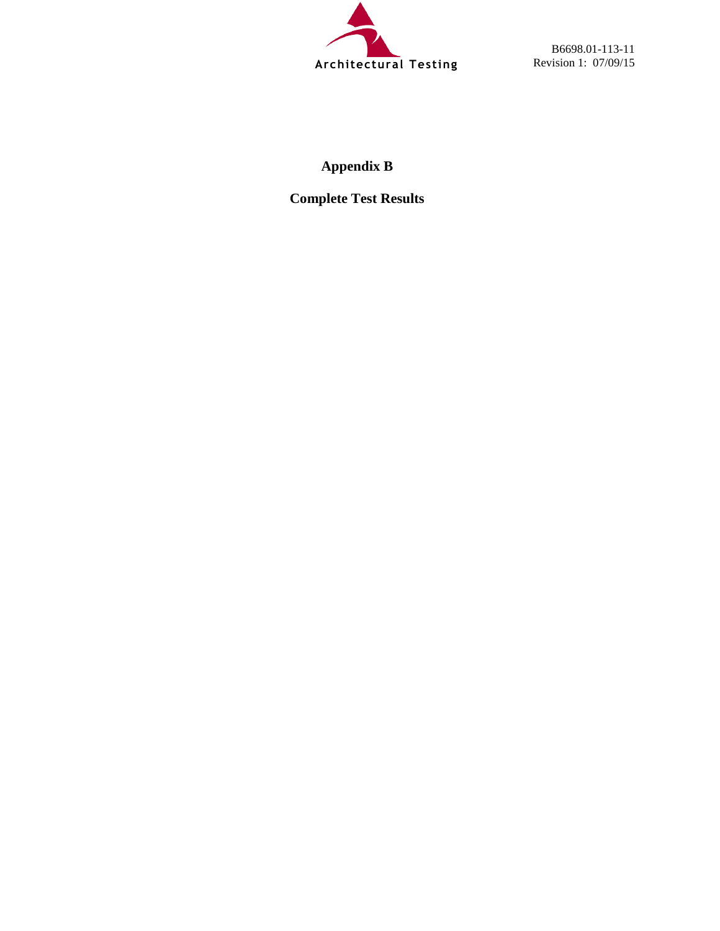

B6698.01-113-11 Revision 1: 07/09/15

# **Appendix B**

**Complete Test Results**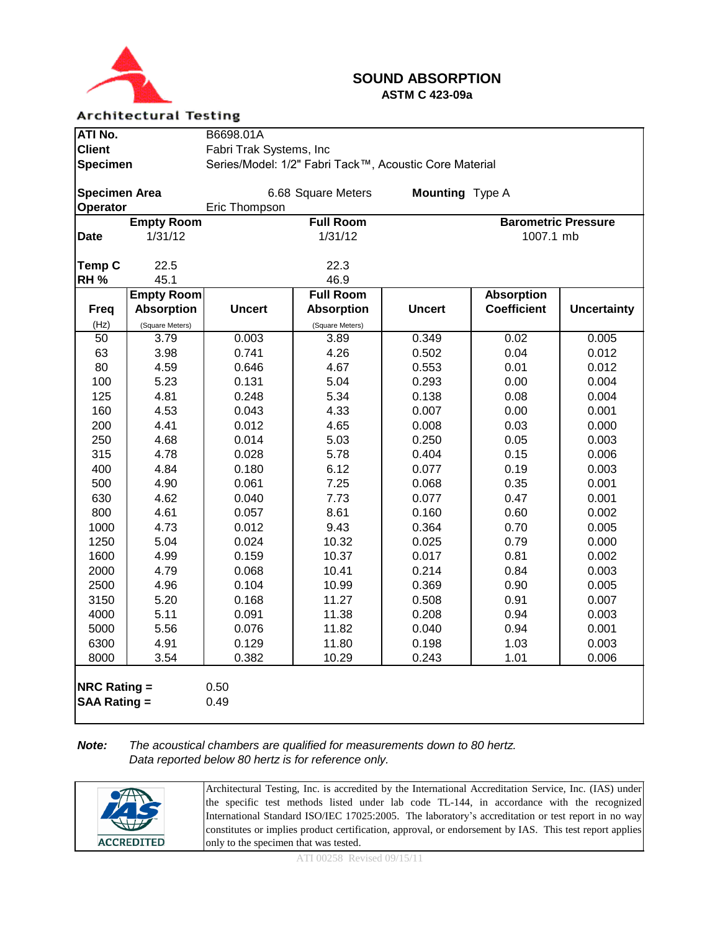

### **SOUND ABSORPTION ASTM C 423-09a**

### **Architectural Testing**

| ATI No.                                    |                                                                           | B6698.01A      |                    |                 |                            |                    |  |
|--------------------------------------------|---------------------------------------------------------------------------|----------------|--------------------|-----------------|----------------------------|--------------------|--|
| <b>Client</b>                              | Fabri Trak Systems, Inc                                                   |                |                    |                 |                            |                    |  |
|                                            | Series/Model: 1/2" Fabri Tack™, Acoustic Core Material<br><b>Specimen</b> |                |                    |                 |                            |                    |  |
|                                            |                                                                           |                |                    |                 |                            |                    |  |
| <b>Specimen Area</b>                       |                                                                           |                | 6.68 Square Meters | Mounting Type A |                            |                    |  |
| Operator                                   |                                                                           | Eric Thompson  |                    |                 |                            |                    |  |
|                                            | <b>Empty Room</b>                                                         |                | <b>Full Room</b>   |                 | <b>Barometric Pressure</b> |                    |  |
| <b>Date</b>                                | 1/31/12                                                                   |                | 1/31/12            |                 | 1007.1 mb                  |                    |  |
|                                            |                                                                           |                |                    |                 |                            |                    |  |
| Temp C                                     | 22.5                                                                      |                | 22.3               |                 |                            |                    |  |
| <b>RH %</b>                                | 45.1                                                                      |                | 46.9               |                 |                            |                    |  |
|                                            | <b>Empty Room</b>                                                         |                | <b>Full Room</b>   |                 | <b>Absorption</b>          |                    |  |
| <b>Freq</b>                                | <b>Absorption</b>                                                         | <b>Uncert</b>  | <b>Absorption</b>  | <b>Uncert</b>   | <b>Coefficient</b>         | <b>Uncertainty</b> |  |
| (Hz)                                       | (Square Meters)                                                           |                | (Square Meters)    |                 |                            |                    |  |
| $\overline{50}$                            | 3.79                                                                      | 0.003          | 3.89               | 0.349           | 0.02                       | 0.005              |  |
| 63                                         | 3.98                                                                      | 0.741          | 4.26               | 0.502           | 0.04                       | 0.012              |  |
| 80                                         | 4.59                                                                      | 0.646          | 4.67               | 0.553           | 0.01                       | 0.012              |  |
| 100                                        | 5.23                                                                      | 0.131          | 5.04               | 0.293           | 0.00                       | 0.004              |  |
| 125                                        | 4.81                                                                      | 0.248          | 5.34               | 0.138           | 0.08                       | 0.004              |  |
| 160                                        | 4.53                                                                      | 0.043          | 4.33               | 0.007           | 0.00                       | 0.001              |  |
| 200                                        | 4.41                                                                      | 0.012          | 4.65               | 0.008           | 0.03                       | 0.000              |  |
| 250                                        | 4.68                                                                      | 0.014          | 5.03               | 0.250           | 0.05                       | 0.003              |  |
| 315                                        | 4.78                                                                      | 0.028          | 5.78               | 0.404           | 0.15                       | 0.006              |  |
| 400                                        | 4.84                                                                      | 0.180          | 6.12               | 0.077           | 0.19                       | 0.003              |  |
| 500                                        | 4.90                                                                      | 0.061          | 7.25               | 0.068           | 0.35                       | 0.001              |  |
| 630<br>800                                 | 4.62<br>4.61                                                              | 0.040<br>0.057 | 7.73<br>8.61       | 0.077<br>0.160  | 0.47<br>0.60               | 0.001<br>0.002     |  |
|                                            | 4.73                                                                      | 0.012          | 9.43               | 0.364           | 0.70                       | 0.005              |  |
| 1000<br>1250                               | 5.04                                                                      | 0.024          |                    | 0.025           | 0.79                       | 0.000              |  |
| 1600                                       | 4.99                                                                      | 0.159          | 10.32<br>10.37     | 0.017           | 0.81                       | 0.002              |  |
| 2000                                       | 4.79                                                                      | 0.068          | 10.41              | 0.214           | 0.84                       | 0.003              |  |
| 2500                                       | 4.96                                                                      | 0.104          | 10.99              | 0.369           | 0.90                       | 0.005              |  |
| 3150                                       | 5.20                                                                      | 0.168          | 11.27              | 0.508           | 0.91                       | 0.007              |  |
| 4000                                       | 5.11                                                                      | 0.091          | 11.38              | 0.208           | 0.94                       | 0.003              |  |
| 5000                                       | 5.56                                                                      | 0.076          | 11.82              | 0.040           | 0.94                       | 0.001              |  |
| 6300                                       | 4.91                                                                      | 0.129          | 11.80              | 0.198           | 1.03                       | 0.003              |  |
| 8000                                       | 3.54                                                                      | 0.382          | 10.29              | 0.243           | 1.01                       | 0.006              |  |
|                                            |                                                                           |                |                    |                 |                            |                    |  |
| <b>NRC Rating =</b><br><b>SAA Rating =</b> |                                                                           | 0.50<br>0.49   |                    |                 |                            |                    |  |

### *Note: The acoustical chambers are qualified for measurements down to 80 hertz. Data reported below 80 hertz is for reference only.*

|                   | Architectural Testing, Inc. is accredited by the International Accreditation Service, Inc. (IAS) under  |
|-------------------|---------------------------------------------------------------------------------------------------------|
| HD.               | the specific test methods listed under lab code TL-144, in accordance with the recognized               |
|                   | International Standard ISO/IEC 17025:2005. The laboratory's accreditation or test report in no way      |
|                   | constitutes or implies product certification, approval, or endorsement by IAS. This test report applies |
| <b>ACCREDITED</b> | only to the specimen that was tested.                                                                   |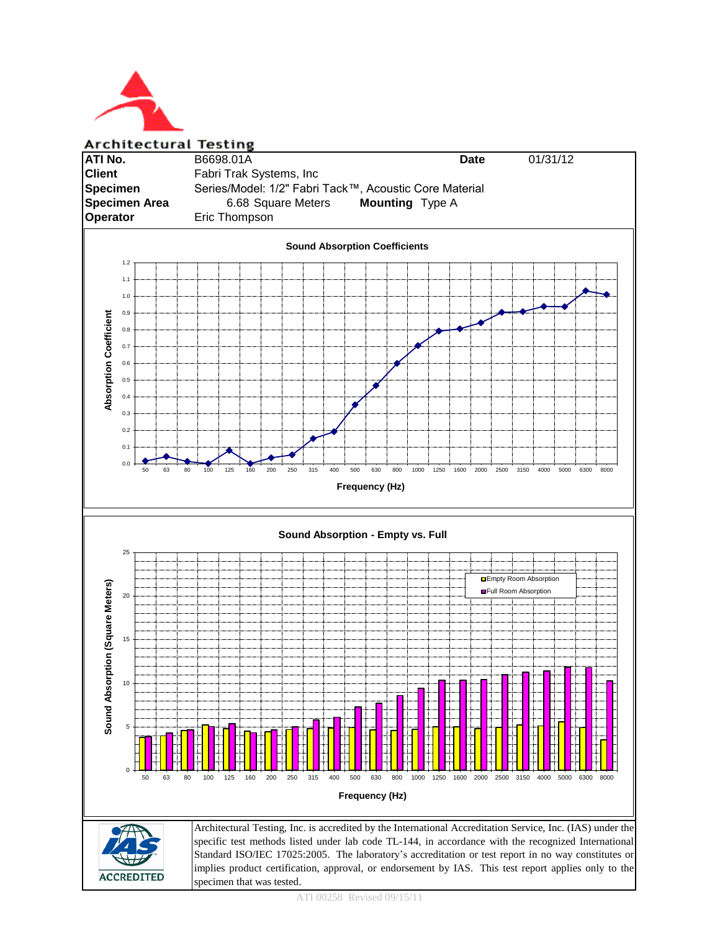

**Architectural Testing**